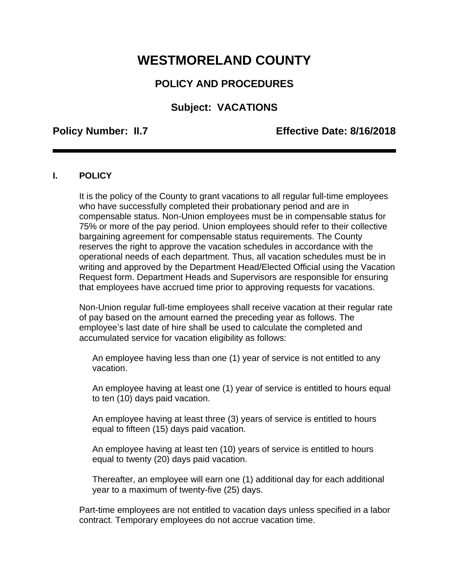# **WESTMORELAND COUNTY**

# **POLICY AND PROCEDURES**

# **Subject: VACATIONS**

## **Policy Number: II.7 Effective Date: 8/16/2018**

### **I. POLICY**

It is the policy of the County to grant vacations to all regular full-time employees who have successfully completed their probationary period and are in compensable status. Non-Union employees must be in compensable status for 75% or more of the pay period. Union employees should refer to their collective bargaining agreement for compensable status requirements. The County reserves the right to approve the vacation schedules in accordance with the operational needs of each department. Thus, all vacation schedules must be in writing and approved by the Department Head/Elected Official using the Vacation Request form. Department Heads and Supervisors are responsible for ensuring that employees have accrued time prior to approving requests for vacations.

Non-Union regular full-time employees shall receive vacation at their regular rate of pay based on the amount earned the preceding year as follows. The employee's last date of hire shall be used to calculate the completed and accumulated service for vacation eligibility as follows:

An employee having less than one (1) year of service is not entitled to any vacation.

An employee having at least one (1) year of service is entitled to hours equal to ten (10) days paid vacation.

An employee having at least three (3) years of service is entitled to hours equal to fifteen (15) days paid vacation.

An employee having at least ten (10) years of service is entitled to hours equal to twenty (20) days paid vacation.

Thereafter, an employee will earn one (1) additional day for each additional year to a maximum of twenty-five (25) days.

Part-time employees are not entitled to vacation days unless specified in a labor contract. Temporary employees do not accrue vacation time.